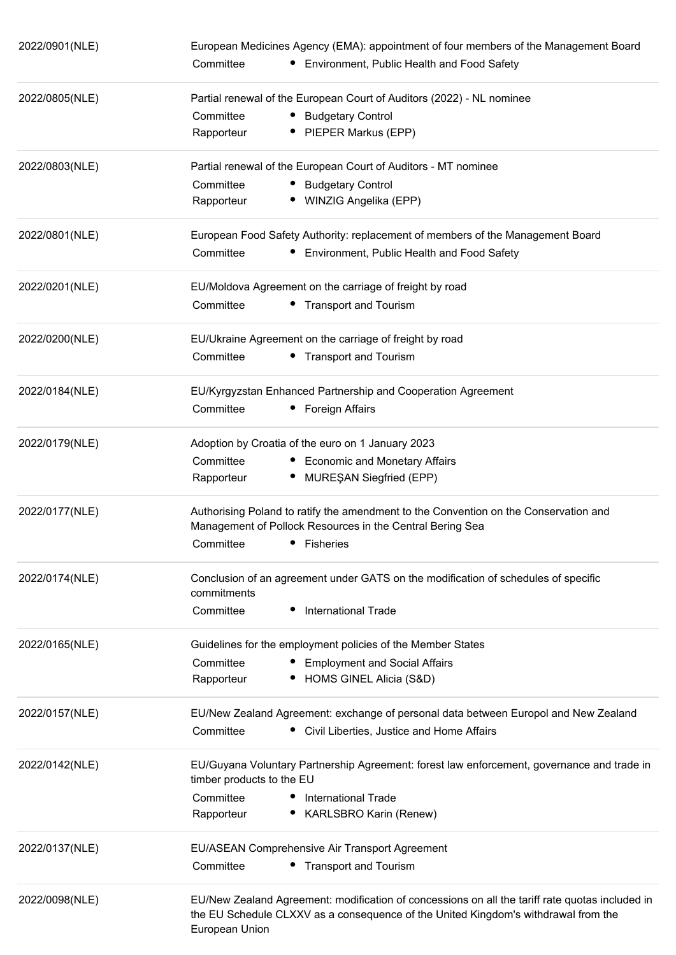| 2022/0901(NLE) | European Medicines Agency (EMA): appointment of four members of the Management Board                 |  |  |
|----------------|------------------------------------------------------------------------------------------------------|--|--|
|                | Committee<br>• Environment, Public Health and Food Safety                                            |  |  |
| 2022/0805(NLE) | Partial renewal of the European Court of Auditors (2022) - NL nominee                                |  |  |
|                | Committee<br>• Budgetary Control                                                                     |  |  |
|                | • PIEPER Markus (EPP)<br>Rapporteur                                                                  |  |  |
| 2022/0803(NLE) | Partial renewal of the European Court of Auditors - MT nominee                                       |  |  |
|                | Committee<br>• Budgetary Control                                                                     |  |  |
|                | • WINZIG Angelika (EPP)<br>Rapporteur                                                                |  |  |
| 2022/0801(NLE) | European Food Safety Authority: replacement of members of the Management Board                       |  |  |
|                | Committee<br>Environment, Public Health and Food Safety                                              |  |  |
| 2022/0201(NLE) | EU/Moldova Agreement on the carriage of freight by road                                              |  |  |
|                | Committee<br>• Transport and Tourism                                                                 |  |  |
| 2022/0200(NLE) | EU/Ukraine Agreement on the carriage of freight by road                                              |  |  |
|                | • Transport and Tourism<br>Committee                                                                 |  |  |
| 2022/0184(NLE) | EU/Kyrgyzstan Enhanced Partnership and Cooperation Agreement                                         |  |  |
|                | Committee<br>• Foreign Affairs                                                                       |  |  |
| 2022/0179(NLE) | Adoption by Croatia of the euro on 1 January 2023                                                    |  |  |
|                | • Economic and Monetary Affairs<br>Committee                                                         |  |  |
|                | MUREŞAN Siegfried (EPP)<br>Rapporteur                                                                |  |  |
| 2022/0177(NLE) | Authorising Poland to ratify the amendment to the Convention on the Conservation and                 |  |  |
|                | Management of Pollock Resources in the Central Bering Sea                                            |  |  |
|                | Committee<br>• Fisheries                                                                             |  |  |
| 2022/0174(NLE) | Conclusion of an agreement under GATS on the modification of schedules of specific<br>commitments    |  |  |
|                | Committee<br><b>International Trade</b>                                                              |  |  |
| 2022/0165(NLE) | Guidelines for the employment policies of the Member States                                          |  |  |
|                | Committee<br><b>Employment and Social Affairs</b>                                                    |  |  |
|                | HOMS GINEL Alicia (S&D)<br>Rapporteur                                                                |  |  |
| 2022/0157(NLE) | EU/New Zealand Agreement: exchange of personal data between Europol and New Zealand                  |  |  |
|                | Committee<br>• Civil Liberties, Justice and Home Affairs                                             |  |  |
| 2022/0142(NLE) | EU/Guyana Voluntary Partnership Agreement: forest law enforcement, governance and trade in           |  |  |
|                | timber products to the EU                                                                            |  |  |
|                | Committee<br><b>International Trade</b>                                                              |  |  |
|                | Rapporteur<br><b>KARLSBRO Karin (Renew)</b>                                                          |  |  |
| 2022/0137(NLE) | EU/ASEAN Comprehensive Air Transport Agreement                                                       |  |  |
|                | Committee<br>• Transport and Tourism                                                                 |  |  |
| 2022/0098(NLE) | EU/New Zealand Agreement: modification of concessions on all the tariff rate quotas included in      |  |  |
|                | the EU Schedule CLXXV as a consequence of the United Kingdom's withdrawal from the<br>European Union |  |  |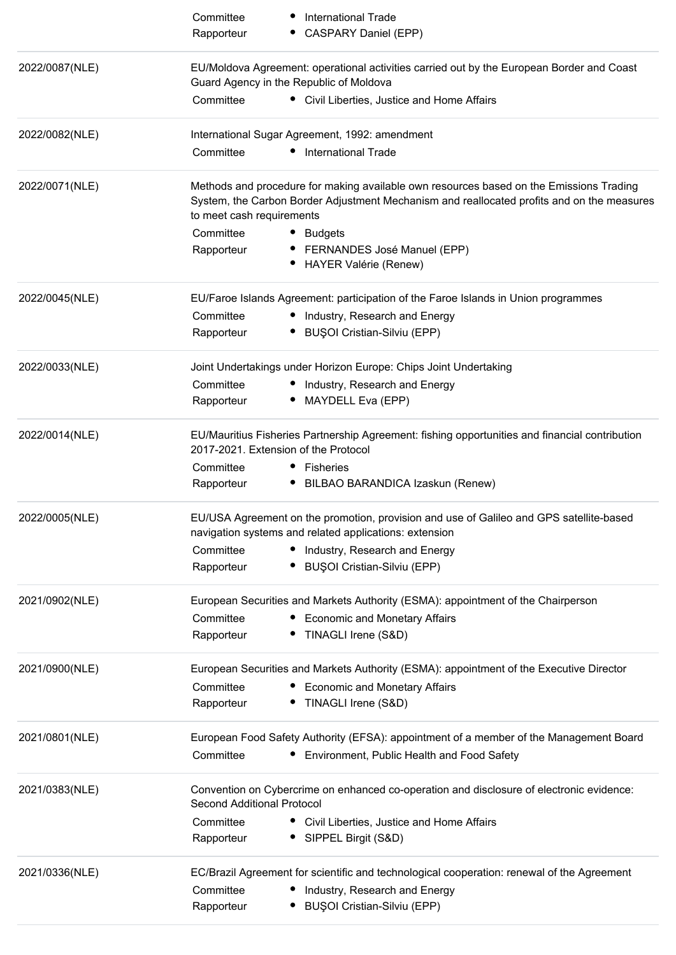|                | Committee                         | <b>International Trade</b>                                                                                                                                                            |
|----------------|-----------------------------------|---------------------------------------------------------------------------------------------------------------------------------------------------------------------------------------|
|                | Rapporteur                        | CASPARY Daniel (EPP)                                                                                                                                                                  |
| 2022/0087(NLE) |                                   | EU/Moldova Agreement: operational activities carried out by the European Border and Coast<br>Guard Agency in the Republic of Moldova                                                  |
|                | Committee                         | • Civil Liberties, Justice and Home Affairs                                                                                                                                           |
| 2022/0082(NLE) |                                   | International Sugar Agreement, 1992: amendment                                                                                                                                        |
|                | Committee                         | <b>International Trade</b>                                                                                                                                                            |
| 2022/0071(NLE) | to meet cash requirements         | Methods and procedure for making available own resources based on the Emissions Trading<br>System, the Carbon Border Adjustment Mechanism and reallocated profits and on the measures |
|                | Committee                         | <b>Budgets</b>                                                                                                                                                                        |
|                | Rapporteur                        | FERNANDES José Manuel (EPP)<br><b>HAYER Valérie (Renew)</b>                                                                                                                           |
|                |                                   |                                                                                                                                                                                       |
| 2022/0045(NLE) |                                   | EU/Faroe Islands Agreement: participation of the Faroe Islands in Union programmes                                                                                                    |
|                | Committee                         | • Industry, Research and Energy                                                                                                                                                       |
|                | Rapporteur                        | <b>BUŞOI Cristian-Silviu (EPP)</b>                                                                                                                                                    |
| 2022/0033(NLE) |                                   | Joint Undertakings under Horizon Europe: Chips Joint Undertaking                                                                                                                      |
|                | Committee                         | • Industry, Research and Energy                                                                                                                                                       |
|                | Rapporteur                        | MAYDELL Eva (EPP)                                                                                                                                                                     |
| 2022/0014(NLE) |                                   | EU/Mauritius Fisheries Partnership Agreement: fishing opportunities and financial contribution<br>2017-2021. Extension of the Protocol                                                |
|                | Committee                         | Fisheries<br>$\bullet$                                                                                                                                                                |
|                | Rapporteur                        | BILBAO BARANDICA Izaskun (Renew)                                                                                                                                                      |
| 2022/0005(NLE) |                                   | EU/USA Agreement on the promotion, provision and use of Galileo and GPS satellite-based<br>navigation systems and related applications: extension                                     |
|                | Committee                         | • Industry, Research and Energy                                                                                                                                                       |
|                | Rapporteur                        | <b>BUŞOI Cristian-Silviu (EPP)</b>                                                                                                                                                    |
| 2021/0902(NLE) |                                   | European Securities and Markets Authority (ESMA): appointment of the Chairperson                                                                                                      |
|                | Committee                         | <b>Economic and Monetary Affairs</b>                                                                                                                                                  |
|                | Rapporteur                        | TINAGLI Irene (S&D)                                                                                                                                                                   |
| 2021/0900(NLE) |                                   | European Securities and Markets Authority (ESMA): appointment of the Executive Director                                                                                               |
|                | Committee                         | <b>Economic and Monetary Affairs</b>                                                                                                                                                  |
|                | Rapporteur                        | TINAGLI Irene (S&D)                                                                                                                                                                   |
| 2021/0801(NLE) |                                   | European Food Safety Authority (EFSA): appointment of a member of the Management Board                                                                                                |
|                | Committee                         | Environment, Public Health and Food Safety                                                                                                                                            |
| 2021/0383(NLE) | <b>Second Additional Protocol</b> | Convention on Cybercrime on enhanced co-operation and disclosure of electronic evidence:                                                                                              |
|                | Committee                         | • Civil Liberties, Justice and Home Affairs                                                                                                                                           |
|                | Rapporteur                        | SIPPEL Birgit (S&D)                                                                                                                                                                   |
| 2021/0336(NLE) |                                   | EC/Brazil Agreement for scientific and technological cooperation: renewal of the Agreement                                                                                            |
|                | Committee                         | Industry, Research and Energy                                                                                                                                                         |
|                | Rapporteur                        | BUŞOI Cristian-Silviu (EPP)                                                                                                                                                           |
|                |                                   |                                                                                                                                                                                       |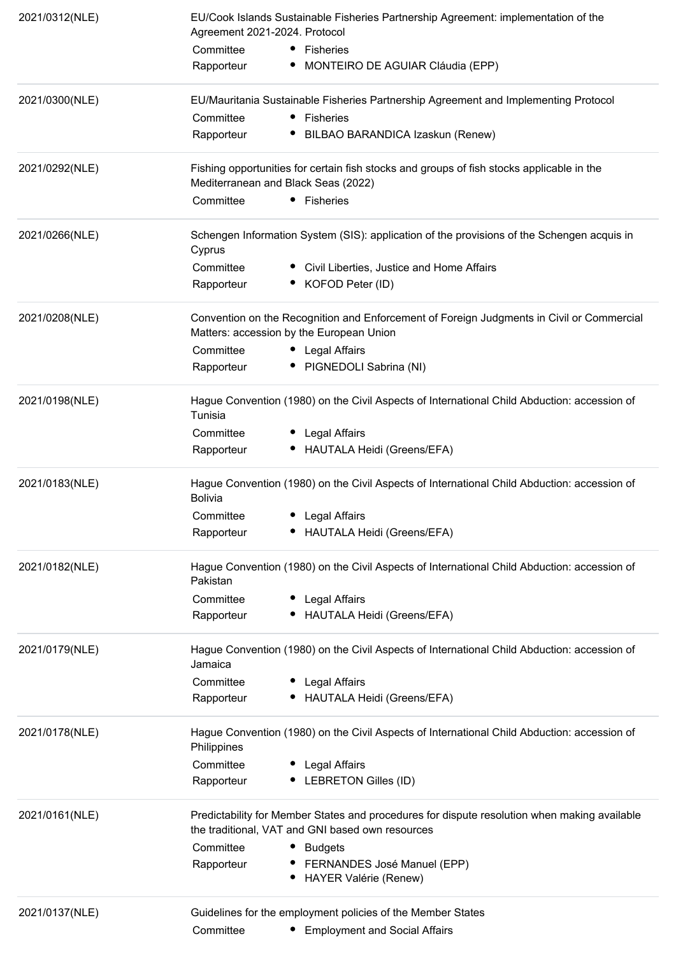| 2021/0312(NLE) | Agreement 2021-2024. Protocol | EU/Cook Islands Sustainable Fisheries Partnership Agreement: implementation of the                                                               |
|----------------|-------------------------------|--------------------------------------------------------------------------------------------------------------------------------------------------|
|                |                               |                                                                                                                                                  |
|                | Committee                     | • Fisheries                                                                                                                                      |
|                | Rapporteur                    | MONTEIRO DE AGUIAR Cláudia (EPP)                                                                                                                 |
| 2021/0300(NLE) |                               | EU/Mauritania Sustainable Fisheries Partnership Agreement and Implementing Protocol                                                              |
|                | Committee                     | • Fisheries                                                                                                                                      |
|                | Rapporteur                    | BILBAO BARANDICA Izaskun (Renew)                                                                                                                 |
| 2021/0292(NLE) |                               | Fishing opportunities for certain fish stocks and groups of fish stocks applicable in the<br>Mediterranean and Black Seas (2022)                 |
|                | Committee                     | • Fisheries                                                                                                                                      |
| 2021/0266(NLE) | Cyprus                        | Schengen Information System (SIS): application of the provisions of the Schengen acquis in                                                       |
|                | Committee                     | • Civil Liberties, Justice and Home Affairs                                                                                                      |
|                | Rapporteur                    | • KOFOD Peter (ID)                                                                                                                               |
| 2021/0208(NLE) |                               | Convention on the Recognition and Enforcement of Foreign Judgments in Civil or Commercial<br>Matters: accession by the European Union            |
|                | Committee                     | • Legal Affairs                                                                                                                                  |
|                | Rapporteur                    | • PIGNEDOLI Sabrina (NI)                                                                                                                         |
| 2021/0198(NLE) | Tunisia                       | Hague Convention (1980) on the Civil Aspects of International Child Abduction: accession of                                                      |
|                | Committee                     | • Legal Affairs                                                                                                                                  |
|                | Rapporteur                    | • HAUTALA Heidi (Greens/EFA)                                                                                                                     |
| 2021/0183(NLE) | <b>Bolivia</b>                | Hague Convention (1980) on the Civil Aspects of International Child Abduction: accession of                                                      |
|                | Committee                     | Legal Affairs<br>٠                                                                                                                               |
|                | Rapporteur                    | HAUTALA Heidi (Greens/EFA)                                                                                                                       |
| 2021/0182(NLE) | Pakistan                      | Hague Convention (1980) on the Civil Aspects of International Child Abduction: accession of                                                      |
|                | Committee                     | Legal Affairs                                                                                                                                    |
|                | Rapporteur                    | HAUTALA Heidi (Greens/EFA)                                                                                                                       |
| 2021/0179(NLE) | Jamaica                       | Hague Convention (1980) on the Civil Aspects of International Child Abduction: accession of                                                      |
|                | Committee                     | Legal Affairs                                                                                                                                    |
|                | Rapporteur                    | HAUTALA Heidi (Greens/EFA)                                                                                                                       |
| 2021/0178(NLE) | Philippines                   | Hague Convention (1980) on the Civil Aspects of International Child Abduction: accession of                                                      |
|                | Committee                     | Legal Affairs                                                                                                                                    |
|                | Rapporteur                    | LEBRETON Gilles (ID)                                                                                                                             |
| 2021/0161(NLE) |                               | Predictability for Member States and procedures for dispute resolution when making available<br>the traditional, VAT and GNI based own resources |
|                | Committee                     | Budgets                                                                                                                                          |
|                | Rapporteur                    | • FERNANDES José Manuel (EPP)                                                                                                                    |
|                |                               | <b>HAYER Valérie (Renew)</b>                                                                                                                     |
| 2021/0137(NLE) |                               | Guidelines for the employment policies of the Member States                                                                                      |
|                | Committee                     | <b>Employment and Social Affairs</b>                                                                                                             |
|                |                               |                                                                                                                                                  |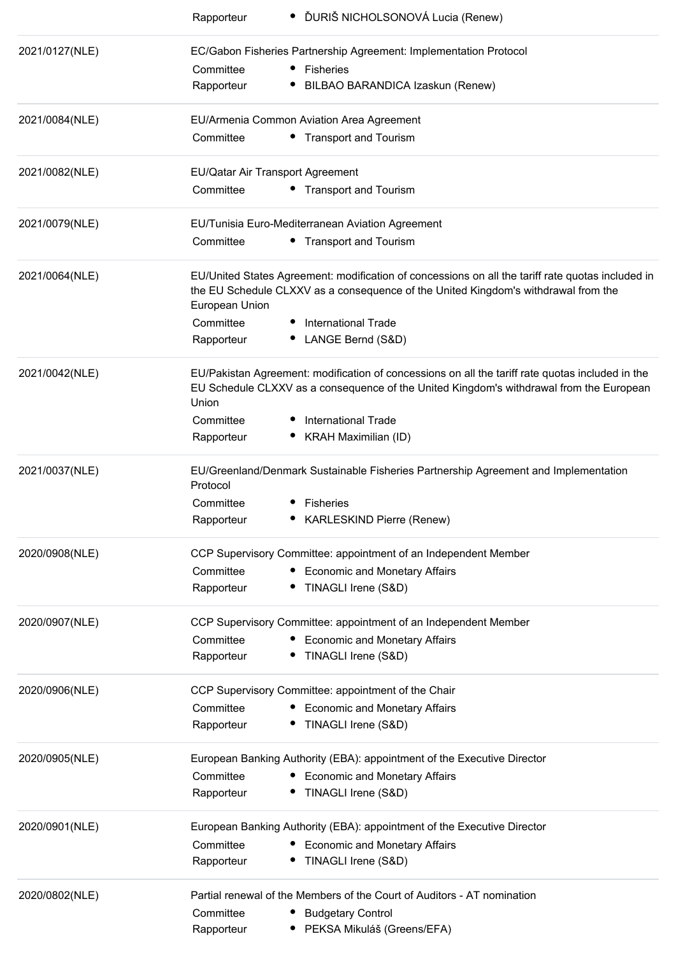|                | • ĎURIŠ NICHOLSONOVÁ Lucia (Renew)<br>Rapporteur                                                                                                                                                          |
|----------------|-----------------------------------------------------------------------------------------------------------------------------------------------------------------------------------------------------------|
| 2021/0127(NLE) | EC/Gabon Fisheries Partnership Agreement: Implementation Protocol                                                                                                                                         |
|                | • Fisheries<br>Committee                                                                                                                                                                                  |
|                | BILBAO BARANDICA Izaskun (Renew)<br>Rapporteur                                                                                                                                                            |
| 2021/0084(NLE) | EU/Armenia Common Aviation Area Agreement                                                                                                                                                                 |
|                | • Transport and Tourism<br>Committee                                                                                                                                                                      |
| 2021/0082(NLE) | EU/Qatar Air Transport Agreement                                                                                                                                                                          |
|                | Committee<br>• Transport and Tourism                                                                                                                                                                      |
| 2021/0079(NLE) | EU/Tunisia Euro-Mediterranean Aviation Agreement                                                                                                                                                          |
|                | • Transport and Tourism<br>Committee                                                                                                                                                                      |
| 2021/0064(NLE) | EU/United States Agreement: modification of concessions on all the tariff rate quotas included in<br>the EU Schedule CLXXV as a consequence of the United Kingdom's withdrawal from the<br>European Union |
|                | <b>International Trade</b><br>Committee                                                                                                                                                                   |
|                | • LANGE Bernd (S&D)<br>Rapporteur                                                                                                                                                                         |
| 2021/0042(NLE) | EU/Pakistan Agreement: modification of concessions on all the tariff rate quotas included in the<br>EU Schedule CLXXV as a consequence of the United Kingdom's withdrawal from the European<br>Union      |
|                | Committee<br><b>International Trade</b>                                                                                                                                                                   |
|                | Rapporteur<br>KRAH Maximilian (ID)                                                                                                                                                                        |
| 2021/0037(NLE) | EU/Greenland/Denmark Sustainable Fisheries Partnership Agreement and Implementation<br>Protocol                                                                                                           |
|                | Committee<br><b>Fisheries</b>                                                                                                                                                                             |
|                | <b>KARLESKIND Pierre (Renew)</b><br>Rapporteur                                                                                                                                                            |
| 2020/0908(NLE) | CCP Supervisory Committee: appointment of an Independent Member                                                                                                                                           |
|                | Committee<br><b>Economic and Monetary Affairs</b>                                                                                                                                                         |
|                | TINAGLI Irene (S&D)<br>Rapporteur                                                                                                                                                                         |
| 2020/0907(NLE) | CCP Supervisory Committee: appointment of an Independent Member                                                                                                                                           |
|                | Committee<br>• Economic and Monetary Affairs                                                                                                                                                              |
|                | TINAGLI Irene (S&D)<br>Rapporteur                                                                                                                                                                         |
| 2020/0906(NLE) | CCP Supervisory Committee: appointment of the Chair                                                                                                                                                       |
|                | Committee<br>• Economic and Monetary Affairs                                                                                                                                                              |
|                | • TINAGLI Irene (S&D)<br>Rapporteur                                                                                                                                                                       |
| 2020/0905(NLE) | European Banking Authority (EBA): appointment of the Executive Director                                                                                                                                   |
|                | Committee<br>• Economic and Monetary Affairs                                                                                                                                                              |
|                | • TINAGLI Irene (S&D)<br>Rapporteur                                                                                                                                                                       |
| 2020/0901(NLE) | European Banking Authority (EBA): appointment of the Executive Director                                                                                                                                   |
|                | Committee<br>• Economic and Monetary Affairs                                                                                                                                                              |
|                | • TINAGLI Irene (S&D)<br>Rapporteur                                                                                                                                                                       |
| 2020/0802(NLE) | Partial renewal of the Members of the Court of Auditors - AT nomination                                                                                                                                   |
|                | Committee<br><b>Budgetary Control</b>                                                                                                                                                                     |
|                | PEKSA Mikuláš (Greens/EFA)<br>Rapporteur                                                                                                                                                                  |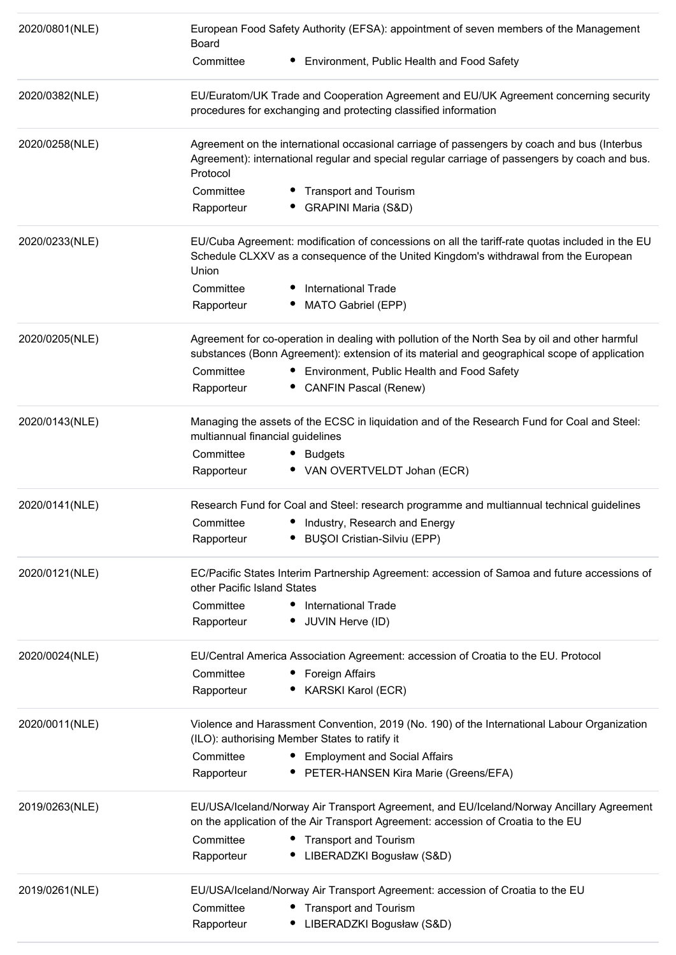| 2020/0801(NLE) | European Food Safety Authority (EFSA): appointment of seven members of the Management<br><b>Board</b>                                                                                                     |
|----------------|-----------------------------------------------------------------------------------------------------------------------------------------------------------------------------------------------------------|
|                | Committee<br>Environment, Public Health and Food Safety                                                                                                                                                   |
| 2020/0382(NLE) | EU/Euratom/UK Trade and Cooperation Agreement and EU/UK Agreement concerning security<br>procedures for exchanging and protecting classified information                                                  |
| 2020/0258(NLE) | Agreement on the international occasional carriage of passengers by coach and bus (Interbus<br>Agreement): international regular and special regular carriage of passengers by coach and bus.<br>Protocol |
|                | Committee<br><b>Transport and Tourism</b><br>Rapporteur<br><b>GRAPINI Maria (S&amp;D)</b>                                                                                                                 |
| 2020/0233(NLE) | EU/Cuba Agreement: modification of concessions on all the tariff-rate quotas included in the EU<br>Schedule CLXXV as a consequence of the United Kingdom's withdrawal from the European<br>Union          |
|                | Committee<br><b>International Trade</b><br>MATO Gabriel (EPP)<br>Rapporteur                                                                                                                               |
| 2020/0205(NLE) | Agreement for co-operation in dealing with pollution of the North Sea by oil and other harmful<br>substances (Bonn Agreement): extension of its material and geographical scope of application            |
|                | Committee<br>Environment, Public Health and Food Safety<br>Rapporteur<br>• CANFIN Pascal (Renew)                                                                                                          |
| 2020/0143(NLE) | Managing the assets of the ECSC in liquidation and of the Research Fund for Coal and Steel:<br>multiannual financial guidelines                                                                           |
|                | Committee<br><b>Budgets</b><br>• VAN OVERTVELDT Johan (ECR)<br>Rapporteur                                                                                                                                 |
| 2020/0141(NLE) | Research Fund for Coal and Steel: research programme and multiannual technical guidelines                                                                                                                 |
|                | Committee<br>• Industry, Research and Energy                                                                                                                                                              |
|                | <b>BUŞOI Cristian-Silviu (EPP)</b><br>Rapporteur                                                                                                                                                          |
| 2020/0121(NLE) | EC/Pacific States Interim Partnership Agreement: accession of Samoa and future accessions of<br>other Pacific Island States                                                                               |
|                | Committee<br>• International Trade                                                                                                                                                                        |
|                | Rapporteur<br>• JUVIN Herve (ID)                                                                                                                                                                          |
| 2020/0024(NLE) | EU/Central America Association Agreement: accession of Croatia to the EU. Protocol                                                                                                                        |
|                | Committee<br>• Foreign Affairs                                                                                                                                                                            |
|                | KARSKI Karol (ECR)<br>Rapporteur                                                                                                                                                                          |
| 2020/0011(NLE) | Violence and Harassment Convention, 2019 (No. 190) of the International Labour Organization<br>(ILO): authorising Member States to ratify it                                                              |
|                | Committee<br>• Employment and Social Affairs                                                                                                                                                              |
|                | PETER-HANSEN Kira Marie (Greens/EFA)<br>Rapporteur                                                                                                                                                        |
| 2019/0263(NLE) | EU/USA/Iceland/Norway Air Transport Agreement, and EU/Iceland/Norway Ancillary Agreement<br>on the application of the Air Transport Agreement: accession of Croatia to the EU                             |
|                | Committee<br>• Transport and Tourism                                                                                                                                                                      |
|                | LIBERADZKI Bogusław (S&D)<br>Rapporteur                                                                                                                                                                   |
| 2019/0261(NLE) | EU/USA/Iceland/Norway Air Transport Agreement: accession of Croatia to the EU                                                                                                                             |
|                | Committee<br>• Transport and Tourism                                                                                                                                                                      |
|                | LIBERADZKI Bogusław (S&D)<br>Rapporteur                                                                                                                                                                   |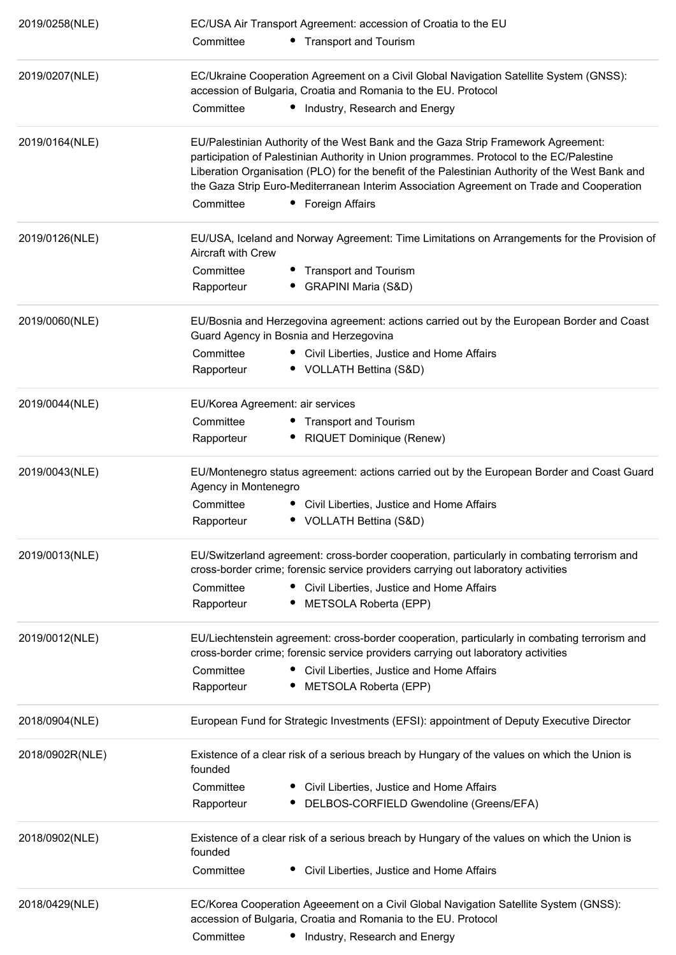| 2019/0258(NLE)  | EC/USA Air Transport Agreement: accession of Croatia to the EU                                                                                                                                                                                                                                                                                                               |
|-----------------|------------------------------------------------------------------------------------------------------------------------------------------------------------------------------------------------------------------------------------------------------------------------------------------------------------------------------------------------------------------------------|
|                 | Committee<br>• Transport and Tourism                                                                                                                                                                                                                                                                                                                                         |
| 2019/0207(NLE)  | EC/Ukraine Cooperation Agreement on a Civil Global Navigation Satellite System (GNSS):<br>accession of Bulgaria, Croatia and Romania to the EU. Protocol                                                                                                                                                                                                                     |
|                 | Committee<br>• Industry, Research and Energy                                                                                                                                                                                                                                                                                                                                 |
| 2019/0164(NLE)  | EU/Palestinian Authority of the West Bank and the Gaza Strip Framework Agreement:<br>participation of Palestinian Authority in Union programmes. Protocol to the EC/Palestine<br>Liberation Organisation (PLO) for the benefit of the Palestinian Authority of the West Bank and<br>the Gaza Strip Euro-Mediterranean Interim Association Agreement on Trade and Cooperation |
|                 | Committee<br>• Foreign Affairs                                                                                                                                                                                                                                                                                                                                               |
| 2019/0126(NLE)  | EU/USA, Iceland and Norway Agreement: Time Limitations on Arrangements for the Provision of<br><b>Aircraft with Crew</b>                                                                                                                                                                                                                                                     |
|                 | Committee<br>• Transport and Tourism                                                                                                                                                                                                                                                                                                                                         |
|                 | • GRAPINI Maria (S&D)<br>Rapporteur                                                                                                                                                                                                                                                                                                                                          |
| 2019/0060(NLE)  | EU/Bosnia and Herzegovina agreement: actions carried out by the European Border and Coast<br>Guard Agency in Bosnia and Herzegovina                                                                                                                                                                                                                                          |
|                 | Committee<br>• Civil Liberties, Justice and Home Affairs                                                                                                                                                                                                                                                                                                                     |
|                 | • VOLLATH Bettina (S&D)<br>Rapporteur                                                                                                                                                                                                                                                                                                                                        |
| 2019/0044(NLE)  | EU/Korea Agreement: air services                                                                                                                                                                                                                                                                                                                                             |
|                 | Committee<br>• Transport and Tourism                                                                                                                                                                                                                                                                                                                                         |
|                 | RIQUET Dominique (Renew)<br>Rapporteur                                                                                                                                                                                                                                                                                                                                       |
| 2019/0043(NLE)  | EU/Montenegro status agreement: actions carried out by the European Border and Coast Guard<br>Agency in Montenegro                                                                                                                                                                                                                                                           |
|                 | Committee<br>Civil Liberties, Justice and Home Affairs                                                                                                                                                                                                                                                                                                                       |
|                 | • VOLLATH Bettina (S&D)<br>Rapporteur                                                                                                                                                                                                                                                                                                                                        |
| 2019/0013(NLE)  | EU/Switzerland agreement: cross-border cooperation, particularly in combating terrorism and<br>cross-border crime; forensic service providers carrying out laboratory activities                                                                                                                                                                                             |
|                 | Committee<br>• Civil Liberties, Justice and Home Affairs                                                                                                                                                                                                                                                                                                                     |
|                 | Rapporteur<br>• METSOLA Roberta (EPP)                                                                                                                                                                                                                                                                                                                                        |
| 2019/0012(NLE)  | EU/Liechtenstein agreement: cross-border cooperation, particularly in combating terrorism and<br>cross-border crime; forensic service providers carrying out laboratory activities                                                                                                                                                                                           |
|                 | Committee<br>• Civil Liberties, Justice and Home Affairs                                                                                                                                                                                                                                                                                                                     |
|                 | METSOLA Roberta (EPP)<br>Rapporteur                                                                                                                                                                                                                                                                                                                                          |
| 2018/0904(NLE)  | European Fund for Strategic Investments (EFSI): appointment of Deputy Executive Director                                                                                                                                                                                                                                                                                     |
| 2018/0902R(NLE) | Existence of a clear risk of a serious breach by Hungary of the values on which the Union is<br>founded                                                                                                                                                                                                                                                                      |
|                 | Committee<br>• Civil Liberties, Justice and Home Affairs                                                                                                                                                                                                                                                                                                                     |
|                 | DELBOS-CORFIELD Gwendoline (Greens/EFA)<br>Rapporteur                                                                                                                                                                                                                                                                                                                        |
| 2018/0902(NLE)  | Existence of a clear risk of a serious breach by Hungary of the values on which the Union is<br>founded                                                                                                                                                                                                                                                                      |
|                 | Committee<br>Civil Liberties, Justice and Home Affairs                                                                                                                                                                                                                                                                                                                       |
| 2018/0429(NLE)  | EC/Korea Cooperation Ageeement on a Civil Global Navigation Satellite System (GNSS):<br>accession of Bulgaria, Croatia and Romania to the EU. Protocol                                                                                                                                                                                                                       |
|                 | Committee<br>• Industry, Research and Energy                                                                                                                                                                                                                                                                                                                                 |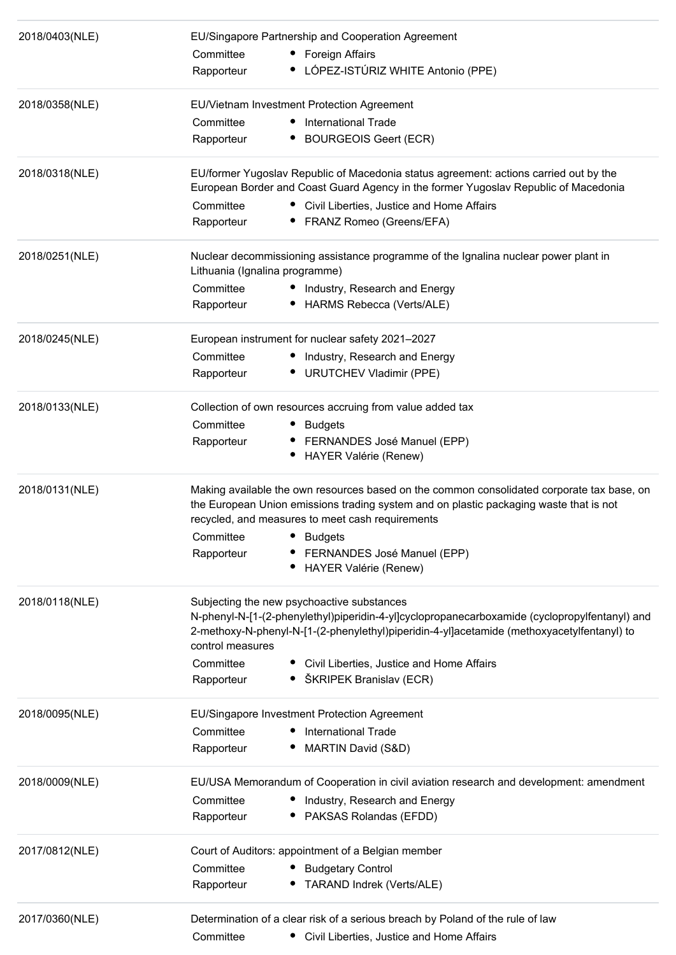| 2018/0403(NLE) | EU/Singapore Partnership and Cooperation Agreement                                                                                                                                                                                       |                                                                                                                                                                                                                                           |  |  |
|----------------|------------------------------------------------------------------------------------------------------------------------------------------------------------------------------------------------------------------------------------------|-------------------------------------------------------------------------------------------------------------------------------------------------------------------------------------------------------------------------------------------|--|--|
|                | Committee                                                                                                                                                                                                                                | • Foreign Affairs                                                                                                                                                                                                                         |  |  |
|                | Rapporteur                                                                                                                                                                                                                               | LÓPEZ-ISTÚRIZ WHITE Antonio (PPE)                                                                                                                                                                                                         |  |  |
| 2018/0358(NLE) |                                                                                                                                                                                                                                          | EU/Vietnam Investment Protection Agreement                                                                                                                                                                                                |  |  |
|                | Committee                                                                                                                                                                                                                                | International Trade<br>$\bullet$                                                                                                                                                                                                          |  |  |
|                | Rapporteur                                                                                                                                                                                                                               | <b>BOURGEOIS Geert (ECR)</b>                                                                                                                                                                                                              |  |  |
| 2018/0318(NLE) |                                                                                                                                                                                                                                          | EU/former Yugoslav Republic of Macedonia status agreement: actions carried out by the<br>European Border and Coast Guard Agency in the former Yugoslav Republic of Macedonia                                                              |  |  |
|                | Committee                                                                                                                                                                                                                                | • Civil Liberties, Justice and Home Affairs                                                                                                                                                                                               |  |  |
|                | Rapporteur                                                                                                                                                                                                                               | FRANZ Romeo (Greens/EFA)                                                                                                                                                                                                                  |  |  |
| 2018/0251(NLE) | Lithuania (Ignalina programme)                                                                                                                                                                                                           | Nuclear decommissioning assistance programme of the Ignalina nuclear power plant in                                                                                                                                                       |  |  |
|                | Committee                                                                                                                                                                                                                                | Industry, Research and Energy                                                                                                                                                                                                             |  |  |
|                | Rapporteur                                                                                                                                                                                                                               | HARMS Rebecca (Verts/ALE)                                                                                                                                                                                                                 |  |  |
| 2018/0245(NLE) |                                                                                                                                                                                                                                          | European instrument for nuclear safety 2021-2027                                                                                                                                                                                          |  |  |
|                | Committee                                                                                                                                                                                                                                | Industry, Research and Energy                                                                                                                                                                                                             |  |  |
|                | Rapporteur                                                                                                                                                                                                                               | <b>URUTCHEV Vladimir (PPE)</b>                                                                                                                                                                                                            |  |  |
| 2018/0133(NLE) |                                                                                                                                                                                                                                          | Collection of own resources accruing from value added tax                                                                                                                                                                                 |  |  |
|                | Committee                                                                                                                                                                                                                                | <b>Budgets</b>                                                                                                                                                                                                                            |  |  |
|                | Rapporteur                                                                                                                                                                                                                               | FERNANDES José Manuel (EPP)                                                                                                                                                                                                               |  |  |
|                |                                                                                                                                                                                                                                          | <b>HAYER Valérie (Renew)</b>                                                                                                                                                                                                              |  |  |
| 2018/0131(NLE) | Making available the own resources based on the common consolidated corporate tax base, on<br>the European Union emissions trading system and on plastic packaging waste that is not<br>recycled, and measures to meet cash requirements |                                                                                                                                                                                                                                           |  |  |
|                | Committee • Budgets                                                                                                                                                                                                                      |                                                                                                                                                                                                                                           |  |  |
|                | Rapporteur                                                                                                                                                                                                                               | FERNANDES José Manuel (EPP)                                                                                                                                                                                                               |  |  |
|                |                                                                                                                                                                                                                                          | HAYER Valérie (Renew)                                                                                                                                                                                                                     |  |  |
| 2018/0118(NLE) | control measures                                                                                                                                                                                                                         | Subjecting the new psychoactive substances<br>N-phenyl-N-[1-(2-phenylethyl)piperidin-4-yl]cyclopropanecarboxamide (cyclopropylfentanyl) and<br>2-methoxy-N-phenyl-N-[1-(2-phenylethyl)piperidin-4-yl]acetamide (methoxyacetylfentanyl) to |  |  |
|                | Committee                                                                                                                                                                                                                                | Civil Liberties, Justice and Home Affairs                                                                                                                                                                                                 |  |  |
|                | Rapporteur                                                                                                                                                                                                                               | ŠKRIPEK Branislav (ECR)                                                                                                                                                                                                                   |  |  |
| 2018/0095(NLE) |                                                                                                                                                                                                                                          | EU/Singapore Investment Protection Agreement                                                                                                                                                                                              |  |  |
|                | Committee                                                                                                                                                                                                                                | <b>International Trade</b>                                                                                                                                                                                                                |  |  |
|                | Rapporteur                                                                                                                                                                                                                               | MARTIN David (S&D)                                                                                                                                                                                                                        |  |  |
| 2018/0009(NLE) |                                                                                                                                                                                                                                          | EU/USA Memorandum of Cooperation in civil aviation research and development: amendment                                                                                                                                                    |  |  |
|                | Committee                                                                                                                                                                                                                                | Industry, Research and Energy                                                                                                                                                                                                             |  |  |
|                | Rapporteur                                                                                                                                                                                                                               | PAKSAS Rolandas (EFDD)                                                                                                                                                                                                                    |  |  |
| 2017/0812(NLE) |                                                                                                                                                                                                                                          | Court of Auditors: appointment of a Belgian member                                                                                                                                                                                        |  |  |
|                | Committee                                                                                                                                                                                                                                | <b>Budgetary Control</b>                                                                                                                                                                                                                  |  |  |
|                | Rapporteur                                                                                                                                                                                                                               | TARAND Indrek (Verts/ALE)<br>٠.                                                                                                                                                                                                           |  |  |
| 2017/0360(NLE) |                                                                                                                                                                                                                                          | Determination of a clear risk of a serious breach by Poland of the rule of law                                                                                                                                                            |  |  |
|                | Committee                                                                                                                                                                                                                                | • Civil Liberties, Justice and Home Affairs                                                                                                                                                                                               |  |  |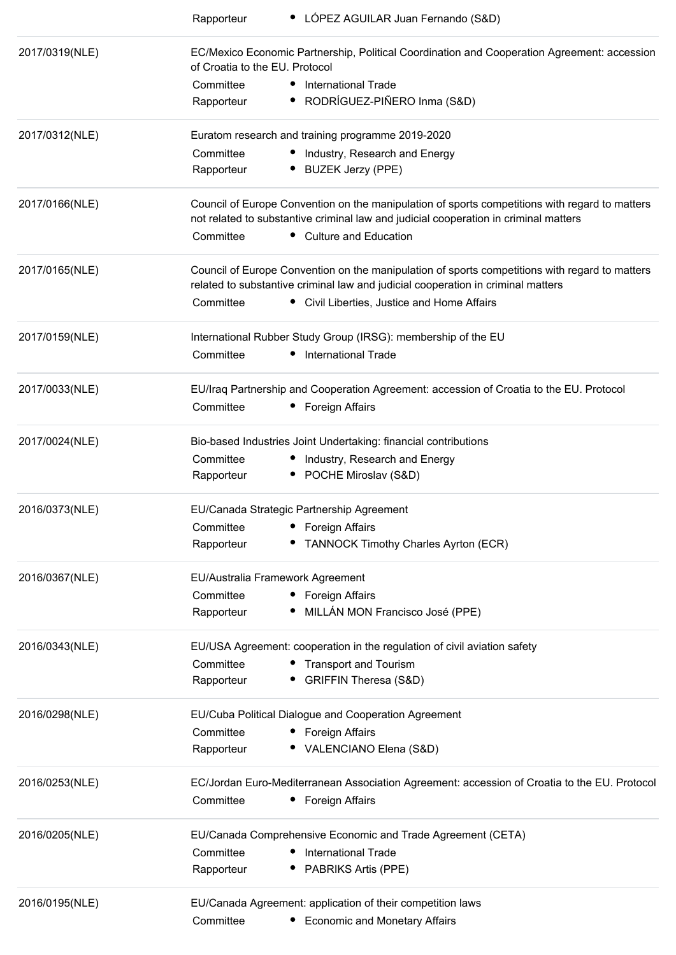|                | • LÓPEZ AGUILAR Juan Fernando (S&D)<br>Rapporteur                                                                                                                                      |
|----------------|----------------------------------------------------------------------------------------------------------------------------------------------------------------------------------------|
| 2017/0319(NLE) | EC/Mexico Economic Partnership, Political Coordination and Cooperation Agreement: accession<br>of Croatia to the EU. Protocol                                                          |
|                | Committee<br>• International Trade                                                                                                                                                     |
|                | · RODRÍGUEZ-PIÑERO Inma (S&D)<br>Rapporteur                                                                                                                                            |
| 2017/0312(NLE) | Euratom research and training programme 2019-2020                                                                                                                                      |
|                | Committee<br>• Industry, Research and Energy                                                                                                                                           |
|                | <b>BUZEK Jerzy (PPE)</b><br>Rapporteur                                                                                                                                                 |
| 2017/0166(NLE) | Council of Europe Convention on the manipulation of sports competitions with regard to matters<br>not related to substantive criminal law and judicial cooperation in criminal matters |
|                | • Culture and Education<br>Committee                                                                                                                                                   |
| 2017/0165(NLE) | Council of Europe Convention on the manipulation of sports competitions with regard to matters<br>related to substantive criminal law and judicial cooperation in criminal matters     |
|                | Committee<br>• Civil Liberties, Justice and Home Affairs                                                                                                                               |
| 2017/0159(NLE) | International Rubber Study Group (IRSG): membership of the EU                                                                                                                          |
|                | <b>International Trade</b><br>Committee                                                                                                                                                |
| 2017/0033(NLE) | EU/Iraq Partnership and Cooperation Agreement: accession of Croatia to the EU. Protocol                                                                                                |
|                | Committee<br>Foreign Affairs                                                                                                                                                           |
| 2017/0024(NLE) | Bio-based Industries Joint Undertaking: financial contributions                                                                                                                        |
|                | Committee<br>• Industry, Research and Energy                                                                                                                                           |
|                | • POCHE Miroslav (S&D)<br>Rapporteur                                                                                                                                                   |
| 2016/0373(NLE) | EU/Canada Strategic Partnership Agreement                                                                                                                                              |
|                | <b>Foreign Affairs</b><br>Committee                                                                                                                                                    |
|                | TANNOCK Timothy Charles Ayrton (ECR)<br>Rapporteur                                                                                                                                     |
| 2016/0367(NLE) | EU/Australia Framework Agreement                                                                                                                                                       |
|                | Committee<br>• Foreign Affairs                                                                                                                                                         |
|                | MILLÁN MON Francisco José (PPE)<br>Rapporteur                                                                                                                                          |
| 2016/0343(NLE) | EU/USA Agreement: cooperation in the regulation of civil aviation safety                                                                                                               |
|                | Committee<br>• Transport and Tourism                                                                                                                                                   |
|                | <b>GRIFFIN Theresa (S&amp;D)</b><br>Rapporteur                                                                                                                                         |
| 2016/0298(NLE) | EU/Cuba Political Dialogue and Cooperation Agreement                                                                                                                                   |
|                | Committee<br>• Foreign Affairs                                                                                                                                                         |
|                | • VALENCIANO Elena (S&D)<br>Rapporteur                                                                                                                                                 |
| 2016/0253(NLE) | EC/Jordan Euro-Mediterranean Association Agreement: accession of Croatia to the EU. Protocol                                                                                           |
|                | Committee<br>• Foreign Affairs                                                                                                                                                         |
| 2016/0205(NLE) | EU/Canada Comprehensive Economic and Trade Agreement (CETA)                                                                                                                            |
|                | Committee<br><b>International Trade</b>                                                                                                                                                |
|                | Rapporteur<br>PABRIKS Artis (PPE)                                                                                                                                                      |
| 2016/0195(NLE) | EU/Canada Agreement: application of their competition laws                                                                                                                             |
|                | Committee<br><b>Economic and Monetary Affairs</b>                                                                                                                                      |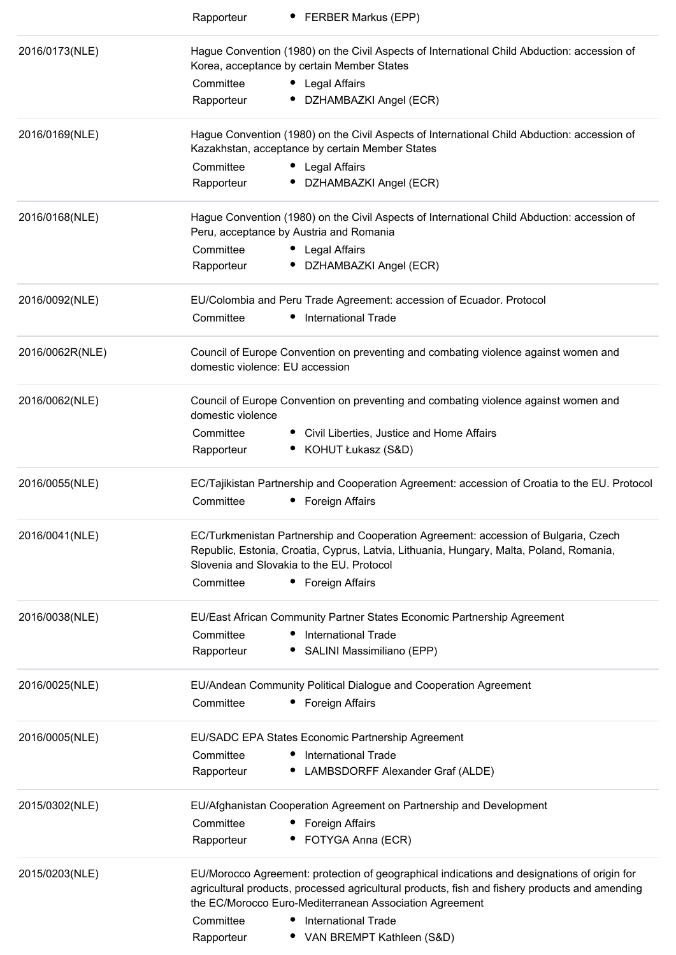|                 | <b>FERBER Markus (EPP)</b><br>Rapporteur                                                                                                                                                                                    |
|-----------------|-----------------------------------------------------------------------------------------------------------------------------------------------------------------------------------------------------------------------------|
| 2016/0173(NLE)  | Hague Convention (1980) on the Civil Aspects of International Child Abduction: accession of<br>Korea, acceptance by certain Member States                                                                                   |
|                 | Committee<br>Legal Affairs                                                                                                                                                                                                  |
|                 | Rapporteur<br>DZHAMBAZKI Angel (ECR)                                                                                                                                                                                        |
| 2016/0169(NLE)  | Hague Convention (1980) on the Civil Aspects of International Child Abduction: accession of<br>Kazakhstan, acceptance by certain Member States                                                                              |
|                 | Committee<br>Legal Affairs                                                                                                                                                                                                  |
|                 | DZHAMBAZKI Angel (ECR)<br>Rapporteur                                                                                                                                                                                        |
| 2016/0168(NLE)  | Hague Convention (1980) on the Civil Aspects of International Child Abduction: accession of<br>Peru, acceptance by Austria and Romania                                                                                      |
|                 | Committee<br>• Legal Affairs                                                                                                                                                                                                |
|                 | • DZHAMBAZKI Angel (ECR)<br>Rapporteur                                                                                                                                                                                      |
| 2016/0092(NLE)  | EU/Colombia and Peru Trade Agreement: accession of Ecuador. Protocol                                                                                                                                                        |
|                 | Committee<br><b>International Trade</b><br>٠                                                                                                                                                                                |
| 2016/0062R(NLE) | Council of Europe Convention on preventing and combating violence against women and<br>domestic violence: EU accession                                                                                                      |
| 2016/0062(NLE)  | Council of Europe Convention on preventing and combating violence against women and<br>domestic violence                                                                                                                    |
|                 | Committee<br>• Civil Liberties, Justice and Home Affairs                                                                                                                                                                    |
|                 | • KOHUT Łukasz (S&D)<br>Rapporteur                                                                                                                                                                                          |
| 2016/0055(NLE)  | EC/Tajikistan Partnership and Cooperation Agreement: accession of Croatia to the EU. Protocol                                                                                                                               |
|                 | Committee<br>Foreign Affairs                                                                                                                                                                                                |
| 2016/0041(NLE)  | EC/Turkmenistan Partnership and Cooperation Agreement: accession of Bulgaria, Czech<br>Republic, Estonia, Croatia, Cyprus, Latvia, Lithuania, Hungary, Malta, Poland, Romania,<br>Slovenia and Slovakia to the EU. Protocol |
|                 | Committee<br>• Foreign Affairs                                                                                                                                                                                              |
| 2016/0038(NLE)  | EU/East African Community Partner States Economic Partnership Agreement                                                                                                                                                     |
|                 | Committee<br><b>International Trade</b>                                                                                                                                                                                     |
|                 | Rapporteur<br>SALINI Massimiliano (EPP)                                                                                                                                                                                     |
| 2016/0025(NLE)  | EU/Andean Community Political Dialogue and Cooperation Agreement                                                                                                                                                            |
|                 | Committee<br>Foreign Affairs                                                                                                                                                                                                |
| 2016/0005(NLE)  | EU/SADC EPA States Economic Partnership Agreement                                                                                                                                                                           |
|                 | <b>International Trade</b><br>Committee                                                                                                                                                                                     |
|                 | LAMBSDORFF Alexander Graf (ALDE)<br>Rapporteur                                                                                                                                                                              |
| 2015/0302(NLE)  | EU/Afghanistan Cooperation Agreement on Partnership and Development                                                                                                                                                         |
|                 | Committee<br>Foreign Affairs                                                                                                                                                                                                |
|                 | FOTYGA Anna (ECR)<br>Rapporteur                                                                                                                                                                                             |
| 2015/0203(NLE)  | EU/Morocco Agreement: protection of geographical indications and designations of origin for                                                                                                                                 |
|                 | agricultural products, processed agricultural products, fish and fishery products and amending<br>the EC/Morocco Euro-Mediterranean Association Agreement                                                                   |
|                 | <b>International Trade</b><br>Committee                                                                                                                                                                                     |
|                 | Rapporteur<br>• VAN BREMPT Kathleen (S&D)                                                                                                                                                                                   |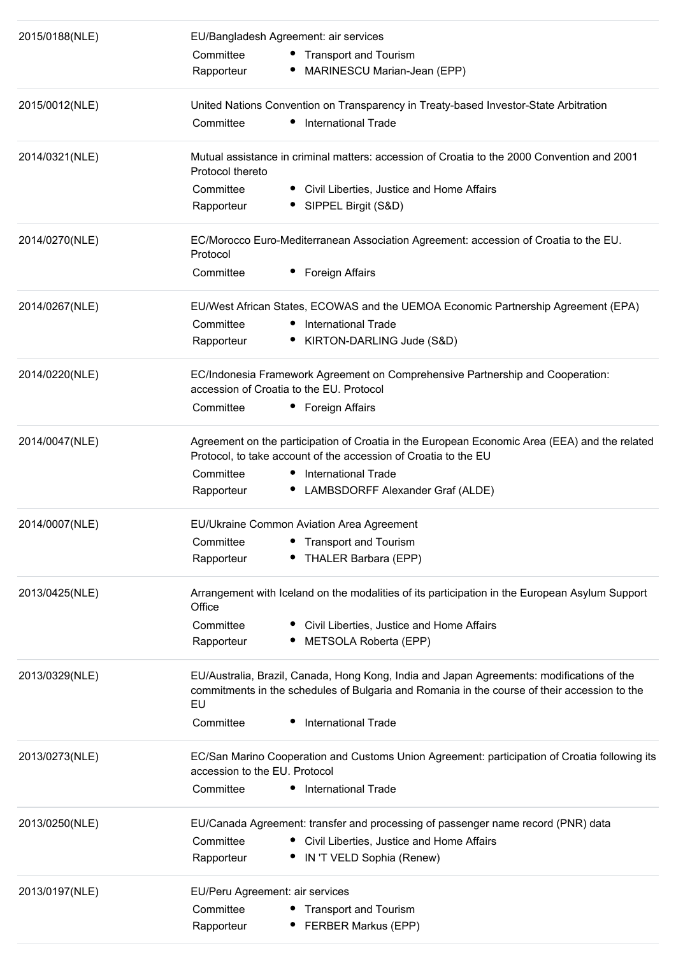| 2015/0188(NLE) | EU/Bangladesh Agreement: air services<br>Committee<br>• Transport and Tourism<br>• MARINESCU Marian-Jean (EPP)<br>Rapporteur                                                                                                               |
|----------------|--------------------------------------------------------------------------------------------------------------------------------------------------------------------------------------------------------------------------------------------|
| 2015/0012(NLE) | United Nations Convention on Transparency in Treaty-based Investor-State Arbitration<br>• International Trade<br>Committee                                                                                                                 |
| 2014/0321(NLE) | Mutual assistance in criminal matters: accession of Croatia to the 2000 Convention and 2001<br>Protocol thereto                                                                                                                            |
|                | Committee<br>• Civil Liberties, Justice and Home Affairs<br>Rapporteur<br>• SIPPEL Birgit (S&D)                                                                                                                                            |
| 2014/0270(NLE) | EC/Morocco Euro-Mediterranean Association Agreement: accession of Croatia to the EU.<br>Protocol                                                                                                                                           |
|                | Committee<br>Foreign Affairs                                                                                                                                                                                                               |
| 2014/0267(NLE) | EU/West African States, ECOWAS and the UEMOA Economic Partnership Agreement (EPA)                                                                                                                                                          |
|                | Committee<br><b>International Trade</b>                                                                                                                                                                                                    |
|                | • KIRTON-DARLING Jude (S&D)<br>Rapporteur                                                                                                                                                                                                  |
| 2014/0220(NLE) | EC/Indonesia Framework Agreement on Comprehensive Partnership and Cooperation:<br>accession of Croatia to the EU. Protocol                                                                                                                 |
|                | • Foreign Affairs<br>Committee                                                                                                                                                                                                             |
| 2014/0047(NLE) | Agreement on the participation of Croatia in the European Economic Area (EEA) and the related<br>Protocol, to take account of the accession of Croatia to the EU                                                                           |
|                | Committee<br>• International Trade<br>• LAMBSDORFF Alexander Graf (ALDE)<br>Rapporteur                                                                                                                                                     |
| 2014/0007(NLE) | EU/Ukraine Common Aviation Area Agreement                                                                                                                                                                                                  |
|                | Committee<br><b>Transport and Tourism</b><br>THALER Barbara (EPP)<br>Rapporteur                                                                                                                                                            |
| 2013/0425(NLE) | Arrangement with Iceland on the modalities of its participation in the European Asylum Support<br>Office                                                                                                                                   |
|                | Committee<br>Civil Liberties, Justice and Home Affairs<br>METSOLA Roberta (EPP)<br>Rapporteur                                                                                                                                              |
| 2013/0329(NLE) | EU/Australia, Brazil, Canada, Hong Kong, India and Japan Agreements: modifications of the<br>commitments in the schedules of Bulgaria and Romania in the course of their accession to the<br>EU<br><b>International Trade</b><br>Committee |
|                |                                                                                                                                                                                                                                            |
| 2013/0273(NLE) | EC/San Marino Cooperation and Customs Union Agreement: participation of Croatia following its<br>accession to the EU. Protocol                                                                                                             |
|                | International Trade<br>Committee<br>$\bullet$                                                                                                                                                                                              |
| 2013/0250(NLE) | EU/Canada Agreement: transfer and processing of passenger name record (PNR) data                                                                                                                                                           |
|                | Committee<br>• Civil Liberties, Justice and Home Affairs<br>• IN 'T VELD Sophia (Renew)<br>Rapporteur                                                                                                                                      |
| 2013/0197(NLE) | EU/Peru Agreement: air services                                                                                                                                                                                                            |
|                | Committee<br>• Transport and Tourism                                                                                                                                                                                                       |
|                | <b>FERBER Markus (EPP)</b><br>Rapporteur                                                                                                                                                                                                   |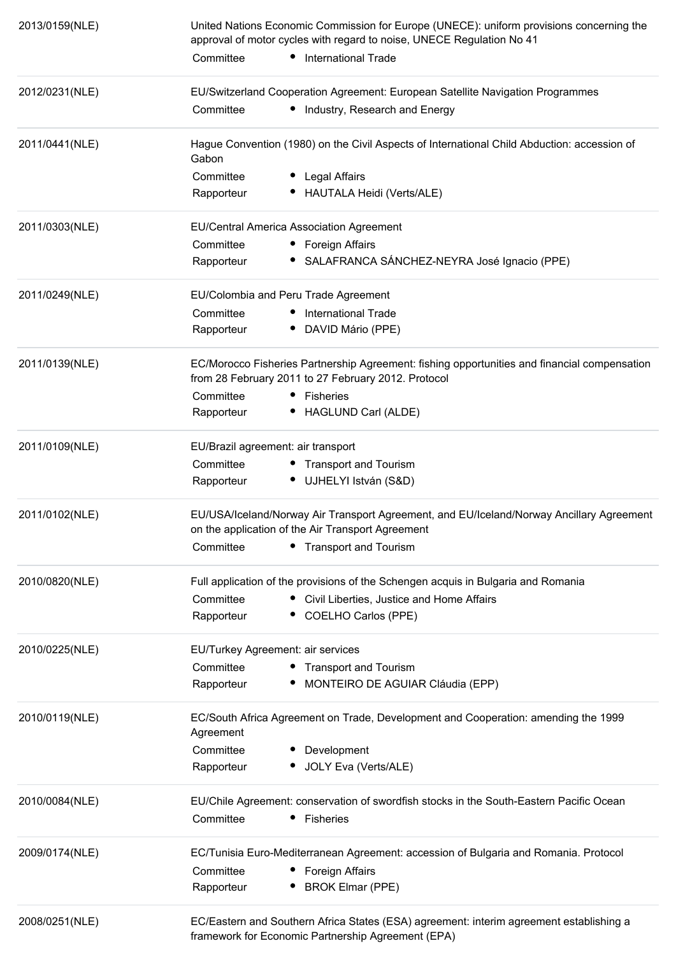| 2013/0159(NLE) | United Nations Economic Commission for Europe (UNECE): uniform provisions concerning the<br>approval of motor cycles with regard to noise, UNECE Regulation No 41 |  |  |
|----------------|-------------------------------------------------------------------------------------------------------------------------------------------------------------------|--|--|
|                | Committee<br>• International Trade                                                                                                                                |  |  |
| 2012/0231(NLE) | EU/Switzerland Cooperation Agreement: European Satellite Navigation Programmes                                                                                    |  |  |
|                | Committee<br>Industry, Research and Energy                                                                                                                        |  |  |
| 2011/0441(NLE) | Hague Convention (1980) on the Civil Aspects of International Child Abduction: accession of<br>Gabon                                                              |  |  |
|                | Committee<br>Legal Affairs                                                                                                                                        |  |  |
|                | HAUTALA Heidi (Verts/ALE)<br>Rapporteur                                                                                                                           |  |  |
| 2011/0303(NLE) | EU/Central America Association Agreement                                                                                                                          |  |  |
|                | Committee<br>• Foreign Affairs                                                                                                                                    |  |  |
|                | · SALAFRANCA SÁNCHEZ-NEYRA José Ignacio (PPE)<br>Rapporteur                                                                                                       |  |  |
| 2011/0249(NLE) | EU/Colombia and Peru Trade Agreement                                                                                                                              |  |  |
|                | Committee<br><b>International Trade</b>                                                                                                                           |  |  |
|                | DAVID Mário (PPE)<br>Rapporteur                                                                                                                                   |  |  |
| 2011/0139(NLE) | EC/Morocco Fisheries Partnership Agreement: fishing opportunities and financial compensation                                                                      |  |  |
|                | from 28 February 2011 to 27 February 2012. Protocol                                                                                                               |  |  |
|                | Committee<br>• Fisheries                                                                                                                                          |  |  |
|                | Rapporteur<br>• HAGLUND Carl (ALDE)                                                                                                                               |  |  |
| 2011/0109(NLE) | EU/Brazil agreement: air transport                                                                                                                                |  |  |
|                | Committee<br>• Transport and Tourism                                                                                                                              |  |  |
|                | Rapporteur<br>· UJHELYI István (S&D)                                                                                                                              |  |  |
| 2011/0102(NLE) | EU/USA/Iceland/Norway Air Transport Agreement, and EU/Iceland/Norway Ancillary Agreement                                                                          |  |  |
|                | on the application of the Air Transport Agreement                                                                                                                 |  |  |
|                | Committee<br><b>Transport and Tourism</b>                                                                                                                         |  |  |
| 2010/0820(NLE) | Full application of the provisions of the Schengen acquis in Bulgaria and Romania                                                                                 |  |  |
|                | Committee<br>Civil Liberties, Justice and Home Affairs                                                                                                            |  |  |
|                | Rapporteur<br>COELHO Carlos (PPE)                                                                                                                                 |  |  |
| 2010/0225(NLE) | EU/Turkey Agreement: air services                                                                                                                                 |  |  |
|                | Committee<br>• Transport and Tourism                                                                                                                              |  |  |
|                | Rapporteur<br>MONTEIRO DE AGUIAR Cláudia (EPP)                                                                                                                    |  |  |
| 2010/0119(NLE) | EC/South Africa Agreement on Trade, Development and Cooperation: amending the 1999<br>Agreement                                                                   |  |  |
|                | Committee<br>Development                                                                                                                                          |  |  |
|                | JOLY Eva (Verts/ALE)<br>Rapporteur                                                                                                                                |  |  |
| 2010/0084(NLE) | EU/Chile Agreement: conservation of swordfish stocks in the South-Eastern Pacific Ocean                                                                           |  |  |
|                | Committee<br><b>Fisheries</b><br>٠                                                                                                                                |  |  |
| 2009/0174(NLE) | EC/Tunisia Euro-Mediterranean Agreement: accession of Bulgaria and Romania. Protocol                                                                              |  |  |
|                | Committee<br>Foreign Affairs                                                                                                                                      |  |  |
|                | <b>BROK Elmar (PPE)</b><br>Rapporteur                                                                                                                             |  |  |
| 2008/0251(NLE) | EC/Eastern and Southern Africa States (ESA) agreement: interim agreement establishing a<br>framework for Economic Partnership Agreement (EPA)                     |  |  |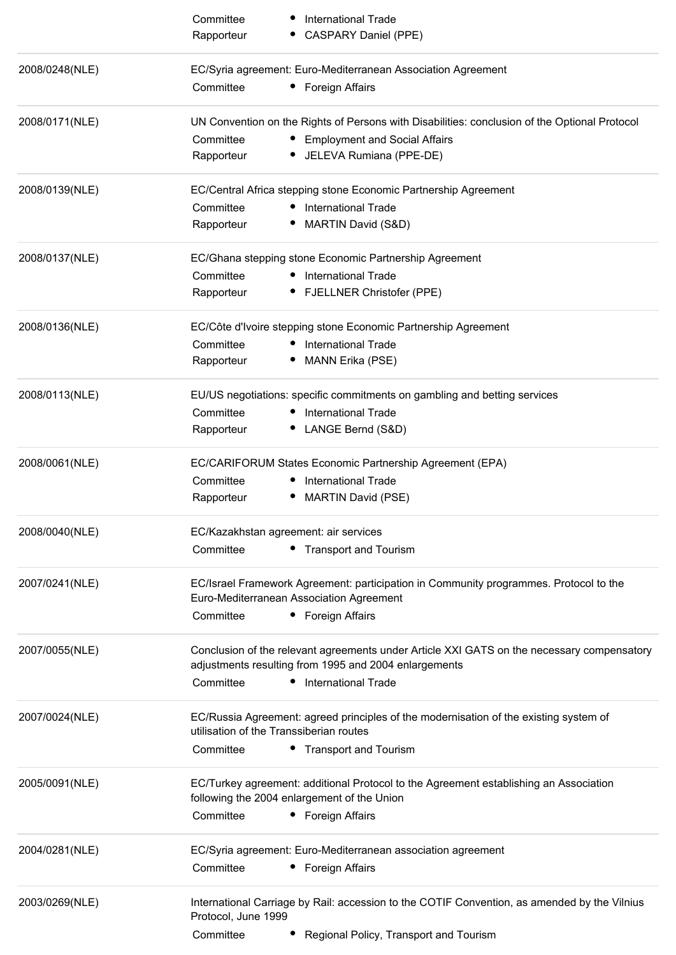|                | Committee<br><b>International Trade</b><br><b>CASPARY Daniel (PPE)</b><br>Rapporteur                                                                |
|----------------|-----------------------------------------------------------------------------------------------------------------------------------------------------|
| 2008/0248(NLE) | EC/Syria agreement: Euro-Mediterranean Association Agreement                                                                                        |
|                | Committee<br>Foreign Affairs                                                                                                                        |
| 2008/0171(NLE) | UN Convention on the Rights of Persons with Disabilities: conclusion of the Optional Protocol                                                       |
|                | Committee<br>• Employment and Social Affairs                                                                                                        |
|                | JELEVA Rumiana (PPE-DE)<br>Rapporteur                                                                                                               |
| 2008/0139(NLE) | EC/Central Africa stepping stone Economic Partnership Agreement                                                                                     |
|                | Committee<br><b>International Trade</b>                                                                                                             |
|                | MARTIN David (S&D)<br>Rapporteur                                                                                                                    |
| 2008/0137(NLE) | EC/Ghana stepping stone Economic Partnership Agreement                                                                                              |
|                | <b>International Trade</b><br>Committee                                                                                                             |
|                | <b>FJELLNER Christofer (PPE)</b><br>Rapporteur                                                                                                      |
| 2008/0136(NLE) | EC/Côte d'Ivoire stepping stone Economic Partnership Agreement                                                                                      |
|                | Committee<br><b>International Trade</b>                                                                                                             |
|                | MANN Erika (PSE)<br>Rapporteur                                                                                                                      |
| 2008/0113(NLE) | EU/US negotiations: specific commitments on gambling and betting services                                                                           |
|                | Committee<br><b>International Trade</b>                                                                                                             |
|                | LANGE Bernd (S&D)<br>Rapporteur                                                                                                                     |
| 2008/0061(NLE) | EC/CARIFORUM States Economic Partnership Agreement (EPA)                                                                                            |
|                | Committee<br><b>International Trade</b>                                                                                                             |
|                | MARTIN David (PSE)<br>Rapporteur                                                                                                                    |
| 2008/0040(NLE) | EC/Kazakhstan agreement: air services                                                                                                               |
|                | Committee<br>• Transport and Tourism                                                                                                                |
| 2007/0241(NLE) | EC/Israel Framework Agreement: participation in Community programmes. Protocol to the                                                               |
|                | Euro-Mediterranean Association Agreement<br>Committee<br>• Foreign Affairs                                                                          |
|                |                                                                                                                                                     |
| 2007/0055(NLE) | Conclusion of the relevant agreements under Article XXI GATS on the necessary compensatory<br>adjustments resulting from 1995 and 2004 enlargements |
|                | <b>International Trade</b><br>Committee                                                                                                             |
| 2007/0024(NLE) | EC/Russia Agreement: agreed principles of the modernisation of the existing system of<br>utilisation of the Transsiberian routes                    |
|                | Committee<br>• Transport and Tourism                                                                                                                |
| 2005/0091(NLE) | EC/Turkey agreement: additional Protocol to the Agreement establishing an Association                                                               |
|                | following the 2004 enlargement of the Union                                                                                                         |
|                | Committee<br>• Foreign Affairs                                                                                                                      |
| 2004/0281(NLE) | EC/Syria agreement: Euro-Mediterranean association agreement                                                                                        |
|                | Committee<br>Foreign Affairs<br>$\bullet$                                                                                                           |
| 2003/0269(NLE) | International Carriage by Rail: accession to the COTIF Convention, as amended by the Vilnius<br>Protocol, June 1999                                 |
|                | Committee<br>Regional Policy, Transport and Tourism                                                                                                 |